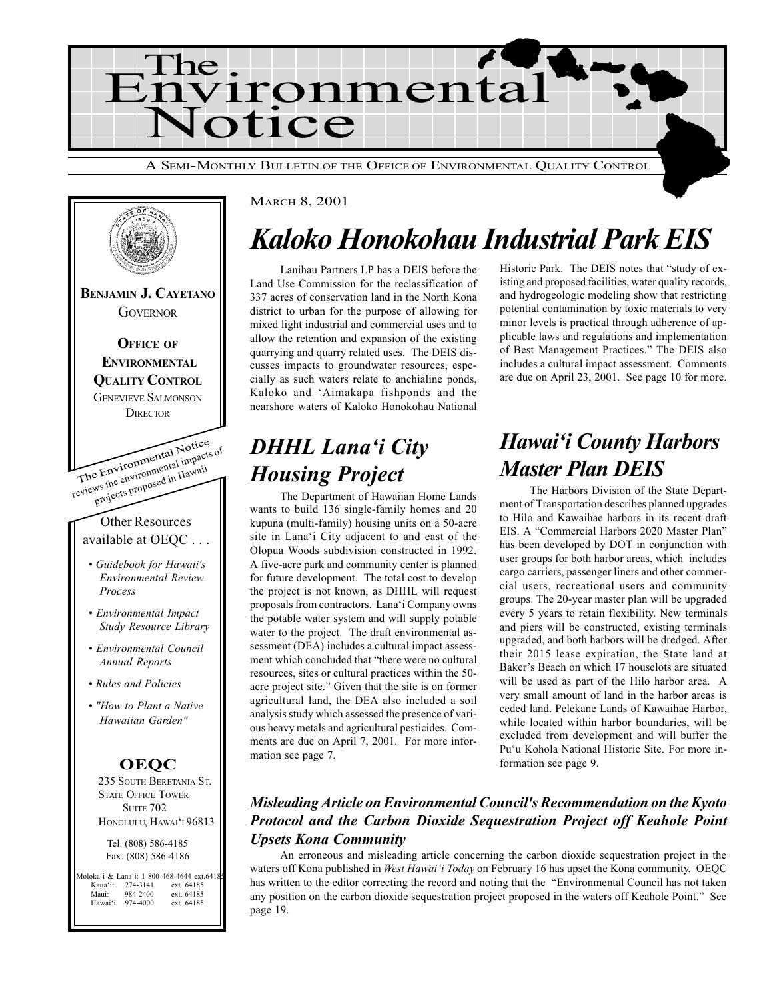



## Kaloko Honokohau Industrial Park EIS

Lanihau Partners LP has a DEIS before the Land Use Commission for the reclassification of 337 acres of conservation land in the North Kona district to urban for the purpose of allowing for mixed light industrial and commercial uses and to allow the retention and expansion of the existing quarrying and quarry related uses. The DEIS discusses impacts to groundwater resources, especially as such waters relate to anchialine ponds, Kaloko and 'Aimakapa fishponds and the nearshore waters of Kaloko Honokohau National

### **DHHL Lana'i City** Housing Project

The Department of Hawaiian Home Lands wants to build 136 single-family homes and 20 kupuna (multi-family) housing units on a 50-acre site in Lana'i City adjacent to and east of the Olopua Woods subdivision constructed in 1992. A five-acre park and community center is planned for future development. The total cost to develop the project is not known, as DHHL will request proposals from contractors. Lana'i Company owns the potable water system and will supply potable water to the project. The draft environmental assessment (DEA) includes a cultural impact assessment which concluded that "there were no cultural resources, sites or cultural practices within the 50 acre project site." Given that the site is on former agricultural land, the DEA also included a soil analysis study which assessed the presence of various heavy metals and agricultural pesticides. Comments are due on April 7, 2001. For more information see page 7.

Historic Park. The DEIS notes that "study of existing and proposed facilities, water quality records, and hydrogeologic modeling show that restricting potential contamination by toxic materials to very minor levels is practical through adherence of applicable laws and regulations and implementation of Best Management Practices." The DEIS also includes a cultural impact assessment. Comments are due on April 23, 2001. See page 10 for more.

### Hawai'i County Harbors Master Plan DEIS

The Harbors Division of the State Department of Transportation describes planned upgrades to Hilo and Kawaihae harbors in its recent draft EIS. A "Commercial Harbors 2020 Master Plan" has been developed by DOT in conjunction with user groups for both harbor areas, which includes cargo carriers, passenger liners and other commercial users, recreational users and community groups. The 20-year master plan will be upgraded every 5 years to retain flexibility. New terminals and piers will be constructed, existing terminals upgraded, and both harbors will be dredged. After their 2015 lease expiration, the State land at Baker's Beach on which 17 houselots are situated will be used as part of the Hilo harbor area. A very small amount of land in the harbor areas is ceded land. Pelekane Lands of Kawaihae Harbor, while located within harbor boundaries, will be excluded from development and will buffer the Pu'u Kohola National Historic Site. For more information see page 9.

### Misleading Article on Environmental Council's Recommendation on the Kyoto Protocol and the Carbon Dioxide Sequestration Project off Keahole Point Upsets Kona Community

An erroneous and misleading article concerning the carbon dioxide sequestration project in the waters off Kona published in West Hawai'i Today on February 16 has upset the Kona community. OEQC has written to the editor correcting the record and noting that the "Environmental Council has not taken any position on the carbon dioxide sequestration project proposed in the waters off Keahole Point." See page 19.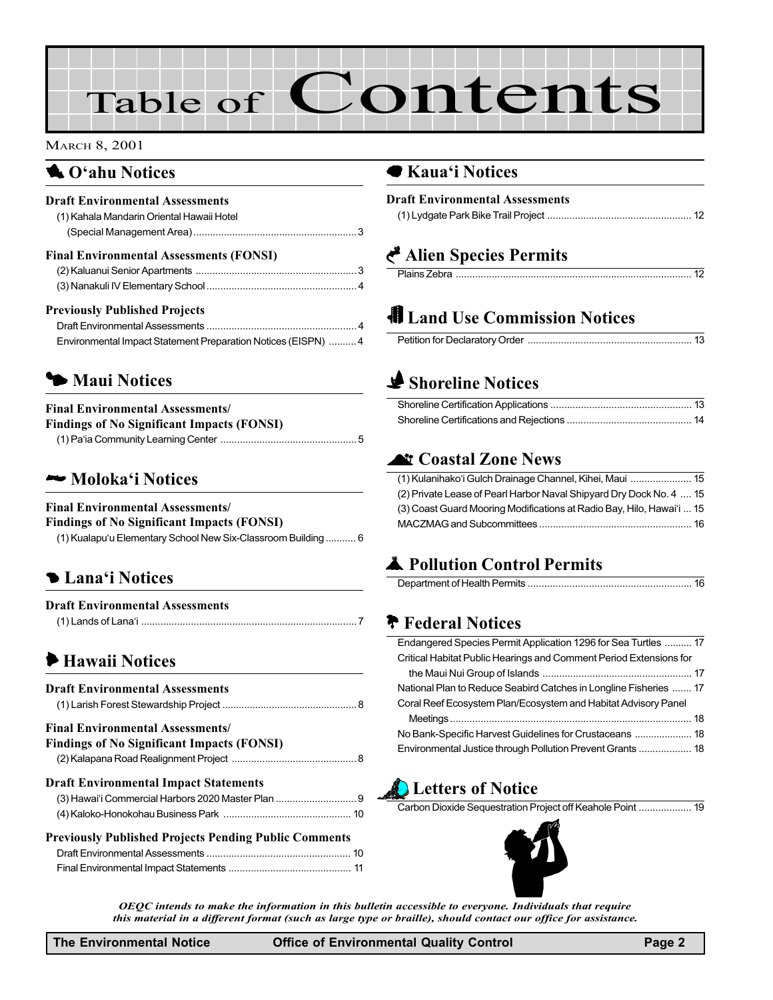# Table of Contents

#### MARCH 8, 2001

### **4.** O'ahu Notices

| <b>Draft Environmental Assessments</b><br>(1) Kahala Mandarin Oriental Hawaii Hotel |  |
|-------------------------------------------------------------------------------------|--|
| <b>Final Environmental Assessments (FONSI)</b>                                      |  |
|                                                                                     |  |
|                                                                                     |  |
| <b>Previously Published Projects</b>                                                |  |
|                                                                                     |  |
| Environmental Impact Statement Preparation Notices (EISPN)  4                       |  |

### **5 Maui Notices**

### Final Environmental Assessments/

| <b>Findings of No Significant Impacts (FONSI)</b> |  |
|---------------------------------------------------|--|
|                                                   |  |

### Moloka'i Notices

#### Final Environmental Assessments/

Findings of No Significant Impacts (FONSI)

| (1) Kualapu'u Elementary School New Six-Classroom Building  6 |  |
|---------------------------------------------------------------|--|
|---------------------------------------------------------------|--|

### **D** Lana'i Notices

| <b>Draft Environmental Assessments</b> |  |
|----------------------------------------|--|
|                                        |  |

### 6 Hawaii Notices

| <b>Draft Environmental Assessments</b>                       |  |
|--------------------------------------------------------------|--|
| <b>Final Environmental Assessments/</b>                      |  |
| <b>Findings of No Significant Impacts (FONSI)</b>            |  |
|                                                              |  |
| <b>Draft Environmental Impact Statements</b>                 |  |
| (3) Hawai'i Commercial Harbors 2020 Master Plan  9           |  |
|                                                              |  |
| <b>Previously Published Projects Pending Public Comments</b> |  |
|                                                              |  |

[Final Environmental Impact Statements](#page-10-0) ............................................ 11

## **Land Use Commission Notices**

(1) Lydgate Park Bike Trail Project [.................................................... 12](#page-11-0)

Plains Zebra ..................................................................................... 12

### $\blacktriangleright$  [Shoreline Notices](#page-12-0)

● Kaua'i Notices

Draft Environmental Assessments

Alien Species Permits

### **N Coastal Zone News**

| (1) Kulanihako'i Gulch Drainage Channel, Kihei, Maui  15              |  |
|-----------------------------------------------------------------------|--|
| (2) Private Lease of Pearl Harbor Naval Shipyard Dry Dock No. 4  15   |  |
| (3) Coast Guard Mooring Modifications at Radio Bay, Hilo, Hawai'i  15 |  |
|                                                                       |  |

### **A** Pollution Control Permits

### **T** Federal Notices

| Endangered Species Permit Application 1296 for Sea Turtles  17     |  |
|--------------------------------------------------------------------|--|
| Critical Habitat Public Hearings and Comment Period Extensions for |  |
|                                                                    |  |
| National Plan to Reduce Seabird Catches in Longline Fisheries  17  |  |
| Coral Reef Ecosystem Plan/Ecosystem and Habitat Advisory Panel     |  |
|                                                                    |  |
|                                                                    |  |
| Environmental Justice through Pollution Prevent Grants  18         |  |

### **Letters of Notice**

Carbon Dioxide Sequestration Project off Keahole Point ................... 19



OEQC intends to make the information in this bulletin accessible to everyone. Individuals that require this material in a different format (such as large type or braille), should contact our office for assistance.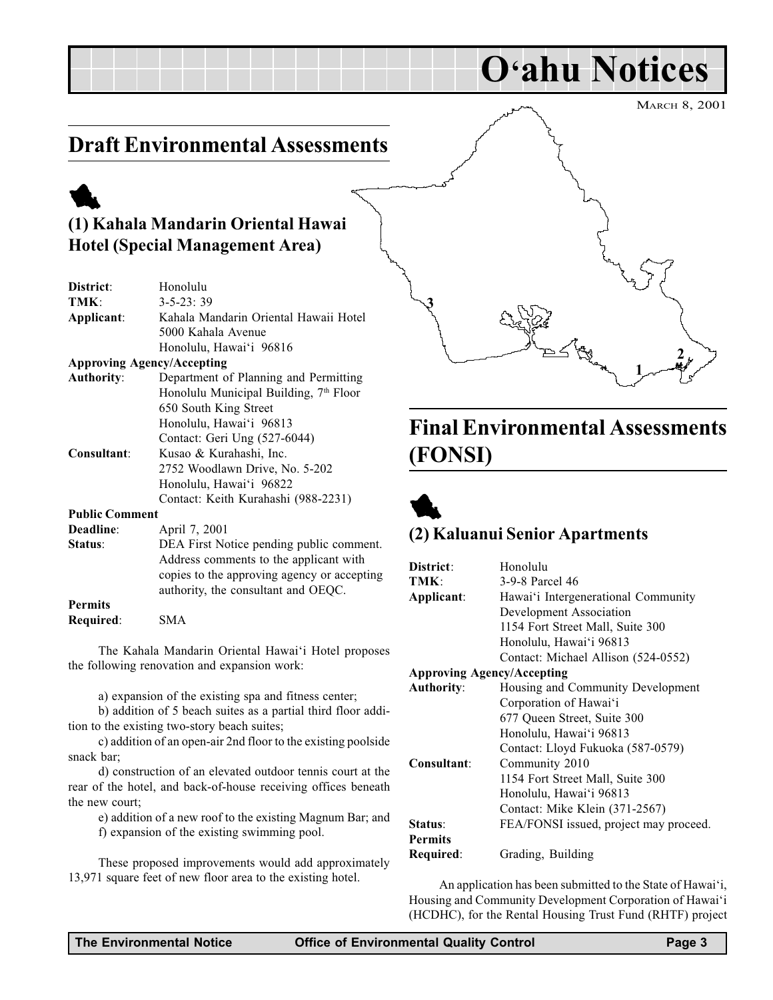O'ahu Notices

### <span id="page-2-0"></span>Draft Environmental Assessments

## 1

### (1) Kahala Mandarin Oriental Hawai Hotel (Special Management Area)

| District:             | Honolulu                                                                                                          |
|-----------------------|-------------------------------------------------------------------------------------------------------------------|
| TMK:                  | $3 - 5 - 23:39$                                                                                                   |
| Applicant:            | Kahala Mandarin Oriental Hawaii Hotel                                                                             |
|                       | 5000 Kahala Avenue                                                                                                |
|                       | Honolulu, Hawai'i 96816                                                                                           |
|                       | <b>Approving Agency/Accepting</b>                                                                                 |
| <b>Authority:</b>     | Department of Planning and Permitting                                                                             |
|                       | Honolulu Municipal Building, 7 <sup>th</sup> Floor                                                                |
|                       | 650 South King Street                                                                                             |
|                       | Honolulu, Hawai'i 96813                                                                                           |
|                       | Contact: Geri Ung (527-6044)                                                                                      |
| Consultant:           | Kusao & Kurahashi, Inc.                                                                                           |
|                       | 2752 Woodlawn Drive, No. 5-202                                                                                    |
|                       | Honolulu, Hawai'i 96822                                                                                           |
|                       | Contact: Keith Kurahashi (988-2231)                                                                               |
| <b>Public Comment</b> |                                                                                                                   |
| Deadline:             | April 7, 2001                                                                                                     |
| $\sim$ $\sim$         | $\mathbf{D} \mathbf{D} \mathbf{A} \mathbf{D}^* \rightarrow \mathbf{M} \mathbf{A}^*$ (1) $\mathbf{I} \mathbf{A}^*$ |

| <b>Deadline:</b> | April 7, 2001                               |
|------------------|---------------------------------------------|
| Status:          | DEA First Notice pending public comment.    |
|                  | Address comments to the applicant with      |
|                  | copies to the approving agency or accepting |
|                  | authority, the consultant and OEOC.         |
| <b>Permits</b>   |                                             |

Required: SMA

The Kahala Mandarin Oriental Hawai'i Hotel proposes the following renovation and expansion work:

a) expansion of the existing spa and fitness center;

b) addition of 5 beach suites as a partial third floor addition to the existing two-story beach suites;

c) addition of an open-air 2nd floor to the existing poolside snack bar;

d) construction of an elevated outdoor tennis court at the rear of the hotel, and back-of-house receiving offices beneath the new court;

e) addition of a new roof to the existing Magnum Bar; and

f) expansion of the existing swimming pool.

These proposed improvements would add approximately 13,971 square feet of new floor area to the existing hotel.

## Final Environmental Assessments (FONSI)

1

2



3

### (2) Kaluanui Senior Apartments

| District:                         | Honolulu                               |  |
|-----------------------------------|----------------------------------------|--|
| TMK:                              | 3-9-8 Parcel 46                        |  |
| Applicant:                        | Hawai'i Intergenerational Community    |  |
|                                   | Development Association                |  |
|                                   | 1154 Fort Street Mall, Suite 300       |  |
|                                   | Honolulu, Hawai'i 96813                |  |
|                                   | Contact: Michael Allison (524-0552)    |  |
| <b>Approving Agency/Accepting</b> |                                        |  |
| <b>Authority:</b>                 | Housing and Community Development      |  |
|                                   | Corporation of Hawai'i                 |  |
|                                   | 677 Queen Street, Suite 300            |  |
|                                   | Honolulu, Hawai'i 96813                |  |
|                                   | Contact: Lloyd Fukuoka (587-0579)      |  |
| Consultant:                       | Community 2010                         |  |
|                                   | 1154 Fort Street Mall, Suite 300       |  |
|                                   | Honolulu, Hawai'i 96813                |  |
|                                   | Contact: Mike Klein (371-2567)         |  |
| Status:                           | FEA/FONSI issued, project may proceed. |  |
| <b>Permits</b>                    |                                        |  |
| Required:                         | Grading, Building                      |  |

An application has been submitted to the State of Hawai'i, Housing and Community Development Corporation of Hawai'i (HCDHC), for the Rental Housing Trust Fund (RHTF) project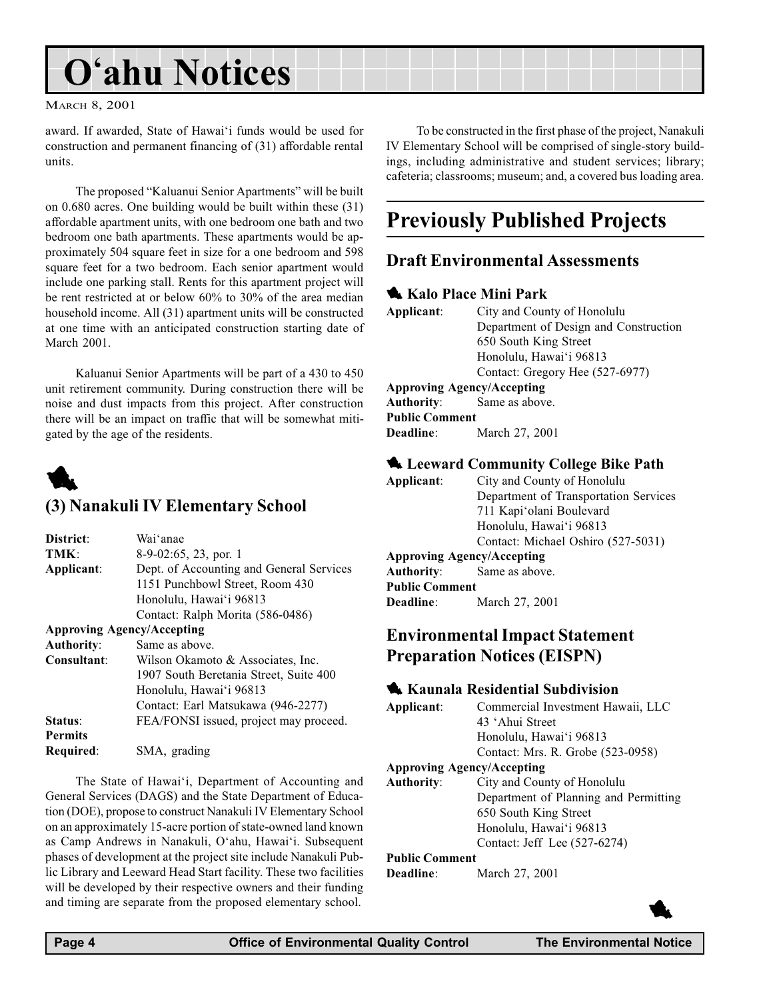## <span id="page-3-0"></span>O'ahu Notices

#### MARCH 8, 2001

award. If awarded, State of Hawai'i funds would be used for construction and permanent financing of (31) affordable rental units.

The proposed "Kaluanui Senior Apartments" will be built on 0.680 acres. One building would be built within these (31) affordable apartment units, with one bedroom one bath and two bedroom one bath apartments. These apartments would be approximately 504 square feet in size for a one bedroom and 598 square feet for a two bedroom. Each senior apartment would include one parking stall. Rents for this apartment project will be rent restricted at or below 60% to 30% of the area median household income. All (31) apartment units will be constructed at one time with an anticipated construction starting date of March 2001.

Kaluanui Senior Apartments will be part of a 430 to 450 unit retirement community. During construction there will be noise and dust impacts from this project. After construction there will be an impact on traffic that will be somewhat mitigated by the age of the residents.



### (3) Nanakuli IV Elementary School

| District:         | Wai'anae                                 |
|-------------------|------------------------------------------|
| TMK:              | $8-9-02:65$ , 23, por. 1                 |
| Applicant:        | Dept. of Accounting and General Services |
|                   | 1151 Punchbowl Street, Room 430          |
|                   | Honolulu, Hawai'i 96813                  |
|                   | Contact: Ralph Morita (586-0486)         |
|                   | <b>Approving Agency/Accepting</b>        |
| <b>Authority:</b> | Same as above.                           |
| Consultant:       | Wilson Okamoto & Associates, Inc.        |
|                   | $100 \pi C$ $1 \pi$ $1 \pi$ $100$        |

|                | 1907 South Beretania Street, Suite 400 |
|----------------|----------------------------------------|
|                | Honolulu, Hawai'i 96813                |
|                | Contact: Earl Matsukawa (946-2277)     |
| Status:        | FEA/FONSI issued, project may proceed. |
| <b>Permits</b> |                                        |
| Required:      | SMA, grading                           |

The State of Hawai'i, Department of Accounting and General Services (DAGS) and the State Department of Education (DOE), propose to construct Nanakuli IV Elementary School on an approximately 15-acre portion of state-owned land known as Camp Andrews in Nanakuli, O'ahu, Hawai'i. Subsequent phases of development at the project site include Nanakuli Public Library and Leeward Head Start facility. These two facilities will be developed by their respective owners and their funding and timing are separate from the proposed elementary school.

To be constructed in the first phase of the project, Nanakuli IV Elementary School will be comprised of single-story buildings, including administrative and student services; library; cafeteria; classrooms; museum; and, a covered bus loading area.

### Previously Published Projects

### Draft Environmental Assessments

#### **Kalo Place Mini Park**

| Applicant:            | City and County of Honolulu           |
|-----------------------|---------------------------------------|
|                       | Department of Design and Construction |
|                       | 650 South King Street                 |
|                       | Honolulu, Hawai'i 96813               |
|                       | Contact: Gregory Hee (527-6977)       |
|                       | <b>Approving Agency/Accepting</b>     |
|                       | <b>Authority:</b> Same as above.      |
| <b>Public Comment</b> |                                       |
| <b>Deadline</b> :     | March 27, 2001                        |

### **4 Leeward Community College Bike Path**

| Applicant:                        | City and County of Honolulu           |
|-----------------------------------|---------------------------------------|
|                                   | Department of Transportation Services |
|                                   | 711 Kapi'olani Boulevard              |
|                                   | Honolulu, Hawai'i 96813               |
|                                   | Contact: Michael Oshiro (527-5031)    |
| <b>Approving Agency/Accepting</b> |                                       |
|                                   | <b>Authority:</b> Same as above.      |
| <b>Public Comment</b>             |                                       |
| <b>Deadline:</b>                  | March 27, 2001                        |
|                                   |                                       |

### Environmental Impact Statement Preparation Notices (EISPN)

#### **1** Kaunala Residential Subdivision

| Applicant:            | Commercial Investment Hawaii, LLC     |
|-----------------------|---------------------------------------|
|                       | 43 'Ahui Street                       |
|                       | Honolulu, Hawai'i 96813               |
|                       | Contact: Mrs. R. Grobe (523-0958)     |
|                       | <b>Approving Agency/Accepting</b>     |
| <b>Authority:</b>     | City and County of Honolulu           |
|                       | Department of Planning and Permitting |
|                       | 650 South King Street                 |
|                       | Honolulu, Hawai'i 96813               |
|                       | Contact: Jeff Lee (527-6274)          |
| <b>Public Comment</b> |                                       |
| Deadline:             | March 27, 2001                        |

**1**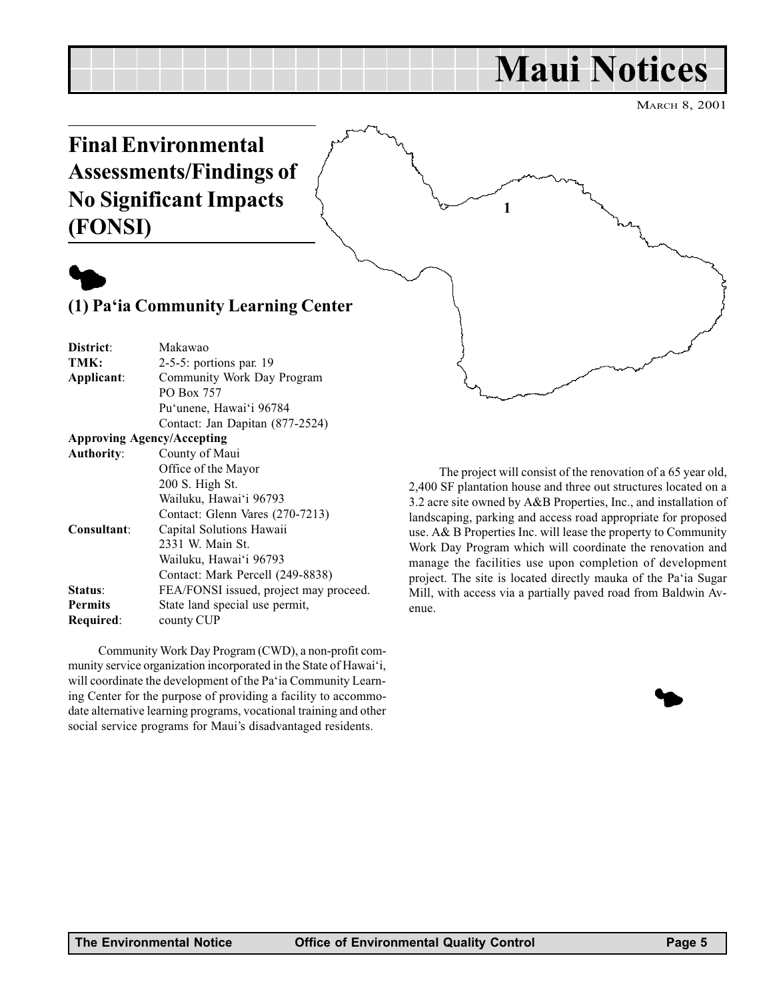## Maui Notices

1

MARCH 8, 2001

## <span id="page-4-0"></span>Final Environmental Assessments/Findings of No Significant Impacts (FONSI)



### (1) Pa'ia Community Learning Center

District: Makawao TMK: 2-5-5: portions par. 19 Applicant: Community Work Day Program PO Box 757 Pu'unene, Hawai'i 96784 Contact: Jan Dapitan (877-2524) Approving Agency/Accepting Authority: County of Maui Office of the Mayor 200 S. High St. Wailuku, Hawai'i 96793 Contact: Glenn Vares (270-7213) Consultant: Capital Solutions Hawaii 2331 W. Main St. Wailuku, Hawai'i 96793 Contact: Mark Percell (249-8838) Status: FEA/FONSI issued, project may proceed. Permits State land special use permit, Required: county CUP

Community Work Day Program (CWD), a non-profit community service organization incorporated in the State of Hawai'i, will coordinate the development of the Pa'ia Community Learning Center for the purpose of providing a facility to accommodate alternative learning programs, vocational training and other social service programs for Maui's disadvantaged residents.

The project will consist of the renovation of a 65 year old, 2,400 SF plantation house and three out structures located on a 3.2 acre site owned by A&B Properties, Inc., and installation of landscaping, parking and access road appropriate for proposed use. A& B Properties Inc. will lease the property to Community Work Day Program which will coordinate the renovation and manage the facilities use upon completion of development project. The site is located directly mauka of the Pa'ia Sugar Mill, with access via a partially paved road from Baldwin Avenue.

 $\blacklozenge$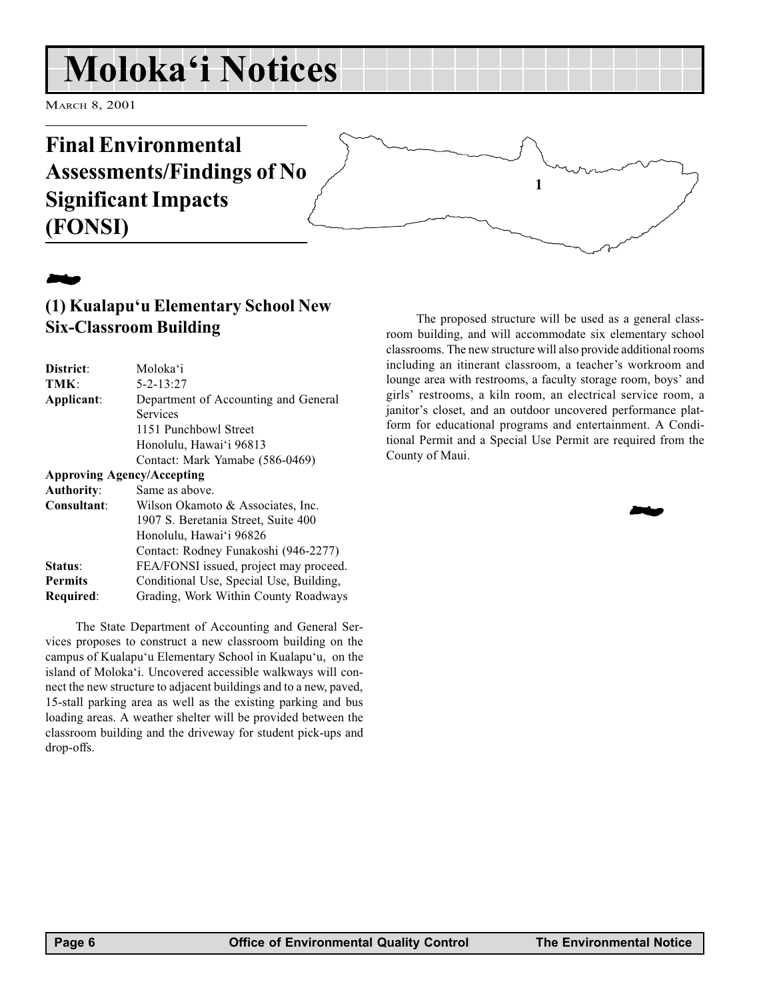## <span id="page-5-0"></span>Moloka'i Notices

MARCH 8, 2001

## Final Environmental Assessments/Findings of No Significant Impacts (FONSI)

## **24**

### (1) Kualapu'u Elementary School New Six-Classroom Building

| District:         | Moloka'i                                |
|-------------------|-----------------------------------------|
| TMK:              | $5 - 2 - 13:27$                         |
| Applicant:        | Department of Accounting and General    |
|                   | <b>Services</b>                         |
|                   | 1151 Punchbowl Street                   |
|                   | Honolulu, Hawai'i 96813                 |
|                   | Contact: Mark Yamabe (586-0469)         |
|                   | <b>Approving Agency/Accepting</b>       |
| <b>Authority:</b> | Same as above.                          |
| Consultant:       | Wilson Okamoto & Associates, Inc.       |
|                   | 1907 S. Beretania Street, Suite 400     |
|                   | Honolulu, Hawai'i 96826                 |
|                   | Contact: Rodney Funakoshi (946-2277)    |
| Status:           | FEA/FONSI issued, project may proceed.  |
| <b>Permits</b>    | Conditional Use, Special Use, Building, |
| Required:         | Grading, Work Within County Roadways    |
|                   |                                         |

The State Department of Accounting and General Services proposes to construct a new classroom building on the campus of Kualapu'u Elementary School in Kualapu'u, on the island of Moloka'i. Uncovered accessible walkways will connect the new structure to adjacent buildings and to a new, paved, 15-stall parking area as well as the existing parking and bus loading areas. A weather shelter will be provided between the classroom building and the driveway for student pick-ups and drop-offs.

The proposed structure will be used as a general classroom building, and will accommodate six elementary school classrooms. The new structure will also provide additional rooms including an itinerant classroom, a teacher's workroom and lounge area with restrooms, a faculty storage room, boys' and girls' restrooms, a kiln room, an electrical service room, a janitor's closet, and an outdoor uncovered performance platform for educational programs and entertainment. A Conditional Permit and a Special Use Permit are required from the County of Maui.

1

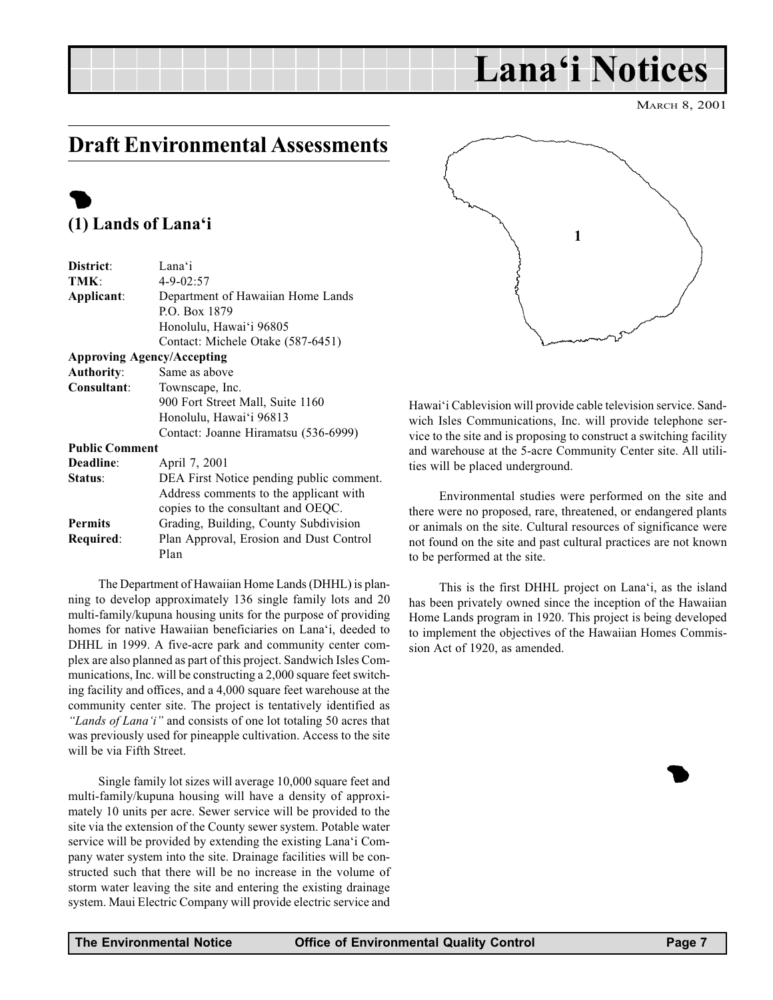### <span id="page-6-0"></span>Draft Environmental Assessments

### $\bullet$ (1) Lands of Lana'i

| District:             | Lana'i                                   |
|-----------------------|------------------------------------------|
| TMK:                  | $4 - 9 - 02:57$                          |
| Applicant:            | Department of Hawaiian Home Lands        |
|                       | P.O. Box 1879                            |
|                       | Honolulu, Hawai'i 96805                  |
|                       | Contact: Michele Otake (587-6451)        |
|                       | <b>Approving Agency/Accepting</b>        |
| <b>Authority:</b>     | Same as above                            |
| Consultant:           | Townscape, Inc.                          |
|                       | 900 Fort Street Mall, Suite 1160         |
|                       | Honolulu, Hawai'i 96813                  |
|                       | Contact: Joanne Hiramatsu (536-6999)     |
| <b>Public Comment</b> |                                          |
| Deadline:             | April 7, 2001                            |
| Status:               | DEA First Notice pending public comment. |
|                       | Address comments to the applicant with   |
|                       | copies to the consultant and OEQC.       |
| <b>Permits</b>        | Grading, Building, County Subdivision    |
| Required:             | Plan Approval, Erosion and Dust Control  |
|                       | Plan                                     |

The Department of Hawaiian Home Lands (DHHL) is planning to develop approximately 136 single family lots and 20 multi-family/kupuna housing units for the purpose of providing homes for native Hawaiian beneficiaries on Lana'i, deeded to DHHL in 1999. A five-acre park and community center complex are also planned as part of this project. Sandwich Isles Communications, Inc. will be constructing a 2,000 square feet switching facility and offices, and a 4,000 square feet warehouse at the community center site. The project is tentatively identified as "Lands of Lana'i" and consists of one lot totaling 50 acres that was previously used for pineapple cultivation. Access to the site will be via Fifth Street.

Single family lot sizes will average 10,000 square feet and multi-family/kupuna housing will have a density of approximately 10 units per acre. Sewer service will be provided to the site via the extension of the County sewer system. Potable water service will be provided by extending the existing Lana'i Company water system into the site. Drainage facilities will be constructed such that there will be no increase in the volume of storm water leaving the site and entering the existing drainage system. Maui Electric Company will provide electric service and



Lana'i Notices

Hawai'i Cablevision will provide cable television service. Sandwich Isles Communications, Inc. will provide telephone service to the site and is proposing to construct a switching facility and warehouse at the 5-acre Community Center site. All utilities will be placed underground.

Environmental studies were performed on the site and there were no proposed, rare, threatened, or endangered plants or animals on the site. Cultural resources of significance were not found on the site and past cultural practices are not known to be performed at the site.

This is the first DHHL project on Lana'i, as the island has been privately owned since the inception of the Hawaiian Home Lands program in 1920. This project is being developed to implement the objectives of the Hawaiian Homes Commission Act of 1920, as amended.

 $\bullet$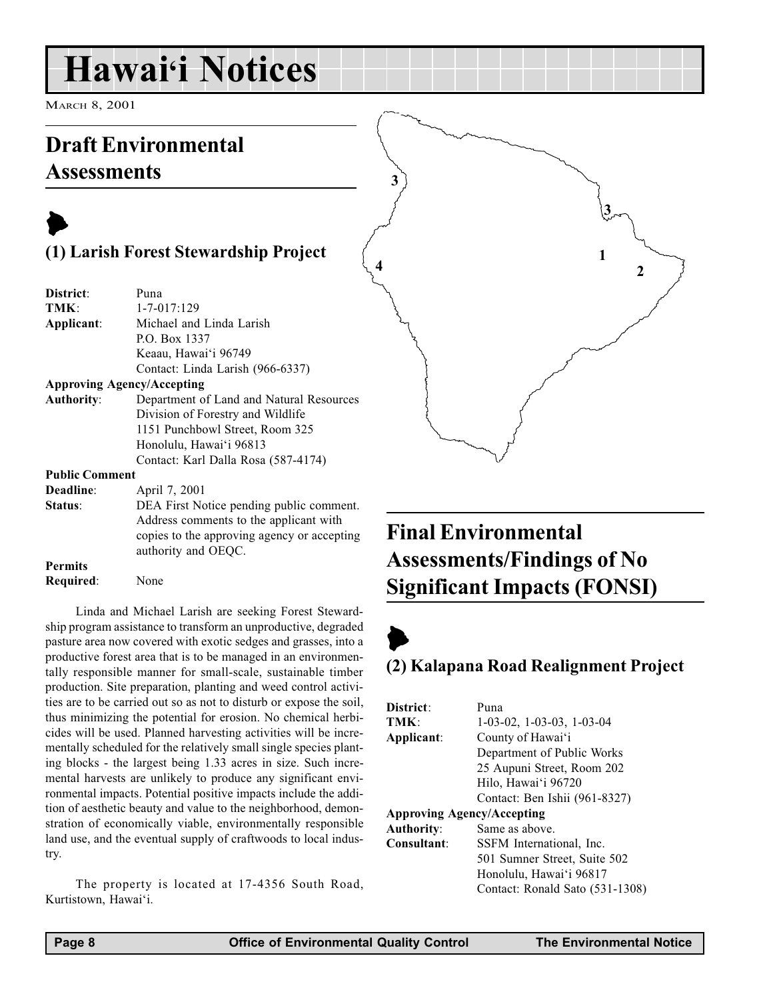## <span id="page-7-0"></span>Hawai'i Notices

MARCH 8, 2001

### Draft Environmental Assessments

### $\blacktriangleright$ (1) Larish Forest Stewardship Project

| District:             | Puna                                                               |
|-----------------------|--------------------------------------------------------------------|
| TMK:                  | $1 - 7 - 017:129$                                                  |
| Applicant:            | Michael and Linda Larish                                           |
|                       | P.O. Box 1337                                                      |
|                       | Keaau, Hawai'i 96749                                               |
|                       | Contact: Linda Larish (966-6337)                                   |
|                       | <b>Approving Agency/Accepting</b>                                  |
| <b>Authority:</b>     | Department of Land and Natural Resources                           |
|                       | Division of Forestry and Wildlife                                  |
|                       | 1151 Punchbowl Street, Room 325                                    |
|                       | Honolulu, Hawai'i 96813                                            |
|                       | Contact: Karl Dalla Rosa (587-4174)                                |
| <b>Public Comment</b> |                                                                    |
| Deadline:             | April 7, 2001                                                      |
| Status:               | DEA First Notice pending public comment.                           |
|                       | Address comments to the applicant with                             |
|                       | copies to the approving agency or accepting<br>authority and OEQC. |

Permits Required: None

Linda and Michael Larish are seeking Forest Stewardship program assistance to transform an unproductive, degraded pasture area now covered with exotic sedges and grasses, into a productive forest area that is to be managed in an environmentally responsible manner for small-scale, sustainable timber production. Site preparation, planting and weed control activities are to be carried out so as not to disturb or expose the soil, thus minimizing the potential for erosion. No chemical herbicides will be used. Planned harvesting activities will be incrementally scheduled for the relatively small single species planting blocks - the largest being 1.33 acres in size. Such incremental harvests are unlikely to produce any significant environmental impacts. Potential positive impacts include the addition of aesthetic beauty and value to the neighborhood, demonstration of economically viable, environmentally responsible land use, and the eventual supply of craftwoods to local industry.

The property is located at 17-4356 South Road, Kurtistown, Hawai'i.

## Final Environmental Assessments/Findings of No Significant Impacts (FONSI)

1

2

3

## $\blacktriangleright$

4

3

### (2) Kalapana Road Realignment Project

| District:                         | Puna                              |
|-----------------------------------|-----------------------------------|
| TMK:                              | $1-03-02$ , $1-03-03$ , $1-03-04$ |
| Applicant:                        | County of Hawai'i                 |
|                                   | Department of Public Works        |
|                                   | 25 Aupuni Street, Room 202        |
|                                   | Hilo, Hawai'i 96720               |
|                                   | Contact: Ben Ishii (961-8327)     |
| <b>Approving Agency/Accepting</b> |                                   |
| <b>Authority:</b>                 | Same as above.                    |
| Consultant:                       | SSFM International, Inc.          |
|                                   | 501 Sumner Street, Suite 502      |
|                                   | Honolulu, Hawai'i 96817           |
|                                   | Contact: Ronald Sato (531-1308)   |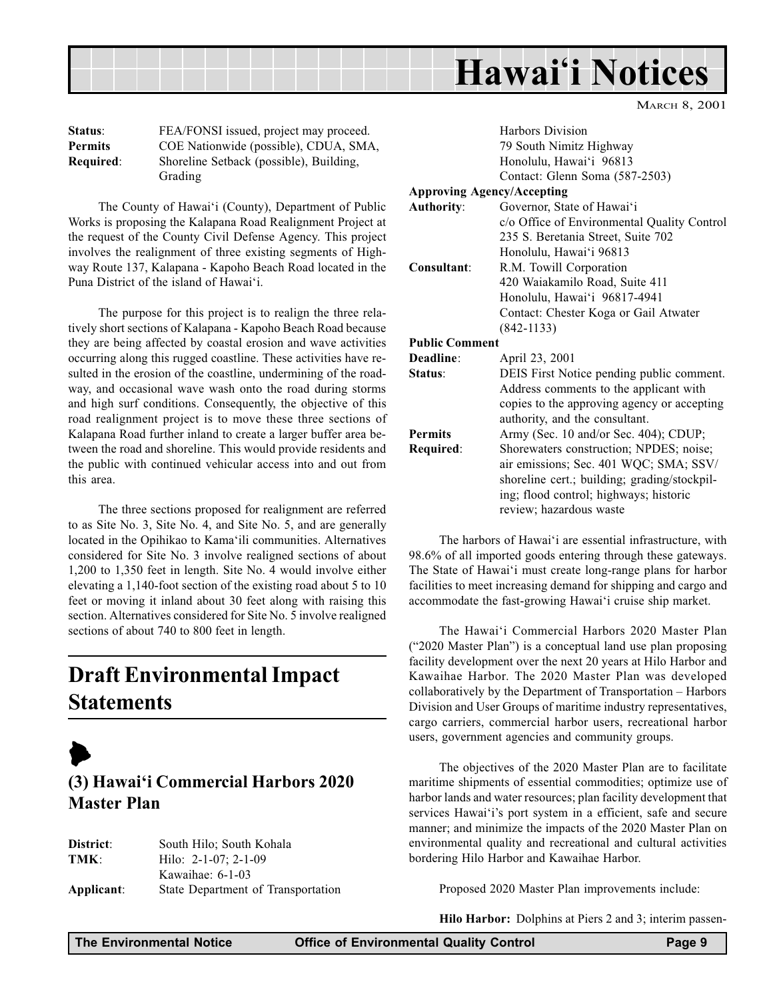<span id="page-8-0"></span>

| <b>Status:</b> | FEA/FONSI issued, project may proceed.  |
|----------------|-----------------------------------------|
| <b>Permits</b> | COE Nationwide (possible), CDUA, SMA,   |
| Required:      | Shoreline Setback (possible), Building, |
|                | Grading                                 |

The County of Hawai'i (County), Department of Public Works is proposing the Kalapana Road Realignment Project at the request of the County Civil Defense Agency. This project involves the realignment of three existing segments of Highway Route 137, Kalapana - Kapoho Beach Road located in the Puna District of the island of Hawai'i.

The purpose for this project is to realign the three relatively short sections of Kalapana - Kapoho Beach Road because they are being affected by coastal erosion and wave activities occurring along this rugged coastline. These activities have resulted in the erosion of the coastline, undermining of the roadway, and occasional wave wash onto the road during storms and high surf conditions. Consequently, the objective of this road realignment project is to move these three sections of Kalapana Road further inland to create a larger buffer area between the road and shoreline. This would provide residents and the public with continued vehicular access into and out from this area.

The three sections proposed for realignment are referred to as Site No. 3, Site No. 4, and Site No. 5, and are generally located in the Opihikao to Kama'ili communities. Alternatives considered for Site No. 3 involve realigned sections of about 1,200 to 1,350 feet in length. Site No. 4 would involve either elevating a 1,140-foot section of the existing road about 5 to 10 feet or moving it inland about 30 feet along with raising this section. Alternatives considered for Site No. 5 involve realigned sections of about 740 to 800 feet in length.

## Draft Environmental Impact **Statements**



### (3) Hawai'i Commercial Harbors 2020 Master Plan

| District:  | South Hilo; South Kohala           |
|------------|------------------------------------|
| TMK:       | Hilo: $2-1-07$ ; $2-1-09$          |
|            | Kawaihae: $6-1-03$                 |
| Applicant: | State Department of Transportation |

|                  | Harbors Division                            |
|------------------|---------------------------------------------|
|                  | 79 South Nimitz Highway                     |
|                  | Honolulu, Hawai'i 96813                     |
|                  | Contact: Glenn Soma (587-2503)              |
|                  | <b>Approving Agency/Accepting</b>           |
| Authority:       | Governor, State of Hawai'i                  |
|                  | c/o Office of Environmental Quality Control |
|                  | 235 S. Beretania Street, Suite 702          |
|                  | Honolulu, Hawai'i 96813                     |
| Consultant:      | R.M. Towill Corporation                     |
|                  | 420 Waiakamilo Road, Suite 411              |
|                  | Honolulu, Hawai'i 96817-4941                |
|                  | Contact: Chester Koga or Gail Atwater       |
|                  | $(842 - 1133)$                              |
| Public Comment   |                                             |
| <b>Deadline:</b> | April 23, 2001                              |
| <b>Status:</b>   | DEIS First Notice pending public comment.   |
|                  | Address comments to the applicant with      |

MARCH 8, 2001

|           | copies to the approving agency or accepting  |  |
|-----------|----------------------------------------------|--|
|           | authority, and the consultant.               |  |
| Permits   | Army (Sec. 10 and/or Sec. 404); CDUP;        |  |
| Required: | Shorewaters construction; NPDES; noise;      |  |
|           | air emissions; Sec. 401 WQC; SMA; SSV/       |  |
|           | shoreline cert.; building; grading/stockpil- |  |
|           | ing; flood control; highways; historic       |  |
|           | review; hazardous waste                      |  |
|           |                                              |  |

The harbors of Hawai'i are essential infrastructure, with 98.6% of all imported goods entering through these gateways. The State of Hawai'i must create long-range plans for harbor facilities to meet increasing demand for shipping and cargo and accommodate the fast-growing Hawai'i cruise ship market.

The Hawai'i Commercial Harbors 2020 Master Plan ("2020 Master Plan") is a conceptual land use plan proposing facility development over the next 20 years at Hilo Harbor and Kawaihae Harbor. The 2020 Master Plan was developed collaboratively by the Department of Transportation Harbors Division and User Groups of maritime industry representatives, cargo carriers, commercial harbor users, recreational harbor users, government agencies and community groups.

The objectives of the 2020 Master Plan are to facilitate maritime shipments of essential commodities; optimize use of harbor lands and water resources; plan facility development that services Hawai'i's port system in a efficient, safe and secure manner; and minimize the impacts of the 2020 Master Plan on environmental quality and recreational and cultural activities bordering Hilo Harbor and Kawaihae Harbor.

Proposed 2020 Master Plan improvements include:

Hilo Harbor: Dolphins at Piers 2 and 3; interim passen-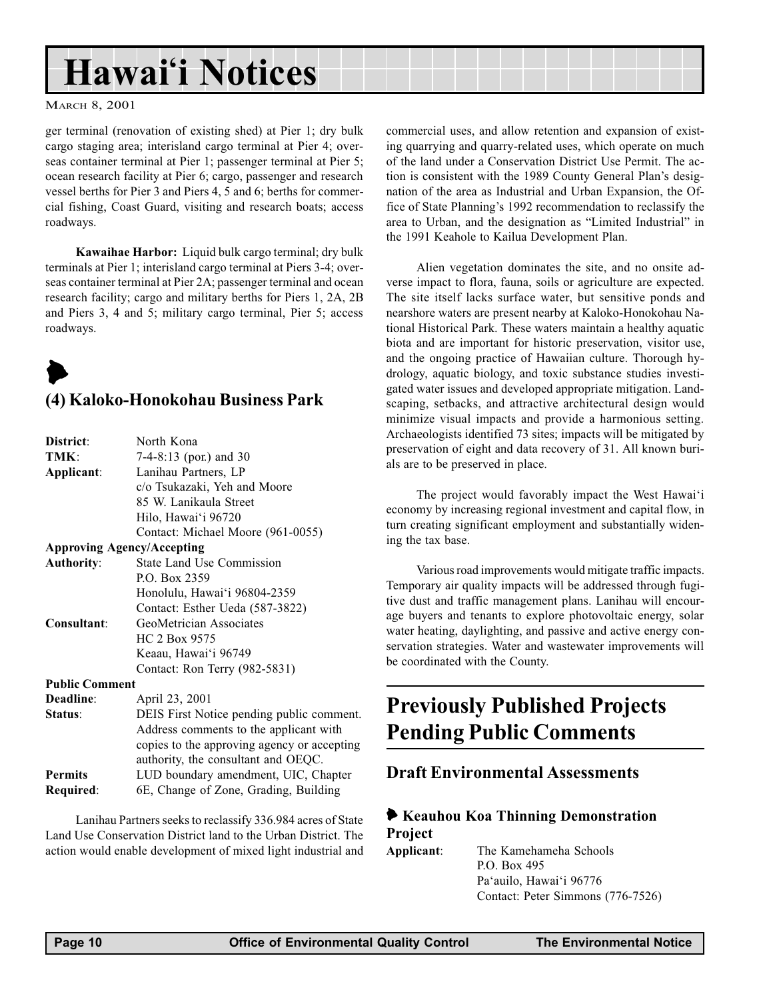## <span id="page-9-0"></span>Hawai'i Notices

#### MARCH 8, 2001

ger terminal (renovation of existing shed) at Pier 1; dry bulk cargo staging area; interisland cargo terminal at Pier 4; overseas container terminal at Pier 1; passenger terminal at Pier 5; ocean research facility at Pier 6; cargo, passenger and research vessel berths for Pier 3 and Piers 4, 5 and 6; berths for commercial fishing, Coast Guard, visiting and research boats; access roadways.

Kawaihae Harbor: Liquid bulk cargo terminal; dry bulk terminals at Pier 1; interisland cargo terminal at Piers 3-4; overseas container terminal at Pier 2A; passenger terminal and ocean research facility; cargo and military berths for Piers 1, 2A, 2B and Piers 3, 4 and 5; military cargo terminal, Pier 5; access roadways.

## $\blacktriangleright$

### (4) Kaloko-Honokohau Business Park

| District:                         | North Kona                                  |  |
|-----------------------------------|---------------------------------------------|--|
| TMK:                              | 7-4-8:13 (por.) and 30                      |  |
| Applicant:                        | Lanihau Partners, LP                        |  |
|                                   | c/o Tsukazaki, Yeh and Moore                |  |
|                                   | 85 W. Lanikaula Street                      |  |
|                                   | Hilo, Hawai'i 96720                         |  |
|                                   | Contact: Michael Moore (961-0055)           |  |
| <b>Approving Agency/Accepting</b> |                                             |  |
| <b>Authority:</b>                 | <b>State Land Use Commission</b>            |  |
|                                   | P.O. Box 2359                               |  |
|                                   | Honolulu, Hawai'i 96804-2359                |  |
|                                   | Contact: Esther Ueda (587-3822)             |  |
| Consultant:                       | GeoMetrician Associates                     |  |
|                                   | HC 2 Box 9575                               |  |
|                                   | Keaau, Hawai'i 96749                        |  |
|                                   | Contact: Ron Terry (982-5831)               |  |
| <b>Public Comment</b>             |                                             |  |
| Deadline:                         | April 23, 2001                              |  |
| Status:                           | DEIS First Notice pending public comment.   |  |
|                                   | Address comments to the applicant with      |  |
|                                   | copies to the approving agency or accepting |  |
|                                   | authority, the consultant and OEQC.         |  |
| <b>Permits</b>                    | LUD boundary amendment, UIC, Chapter        |  |
| Required:                         | 6E, Change of Zone, Grading, Building       |  |
|                                   |                                             |  |

Lanihau Partners seeks to reclassify 336.984 acres of State Land Use Conservation District land to the Urban District. The action would enable development of mixed light industrial and commercial uses, and allow retention and expansion of existing quarrying and quarry-related uses, which operate on much of the land under a Conservation District Use Permit. The action is consistent with the 1989 County General Plan's designation of the area as Industrial and Urban Expansion, the Office of State Planning's 1992 recommendation to reclassify the area to Urban, and the designation as "Limited Industrial" in the 1991 Keahole to Kailua Development Plan.

Alien vegetation dominates the site, and no onsite adverse impact to flora, fauna, soils or agriculture are expected. The site itself lacks surface water, but sensitive ponds and nearshore waters are present nearby at Kaloko-Honokohau National Historical Park. These waters maintain a healthy aquatic biota and are important for historic preservation, visitor use, and the ongoing practice of Hawaiian culture. Thorough hydrology, aquatic biology, and toxic substance studies investigated water issues and developed appropriate mitigation. Landscaping, setbacks, and attractive architectural design would minimize visual impacts and provide a harmonious setting. Archaeologists identified 73 sites; impacts will be mitigated by preservation of eight and data recovery of 31. All known burials are to be preserved in place.

The project would favorably impact the West Hawai'i economy by increasing regional investment and capital flow, in turn creating significant employment and substantially widening the tax base.

Various road improvements would mitigate traffic impacts. Temporary air quality impacts will be addressed through fugitive dust and traffic management plans. Lanihau will encourage buyers and tenants to explore photovoltaic energy, solar water heating, daylighting, and passive and active energy conservation strategies. Water and wastewater improvements will be coordinated with the County.

### Previously Published Projects Pending Public Comments

### Draft Environmental Assessments

### 6 Keauhou Koa Thinning Demonstration Project

Applicant: The Kamehameha Schools P.O. Box 495 Pa'auilo, Hawai'i 96776 Contact: Peter Simmons (776-7526)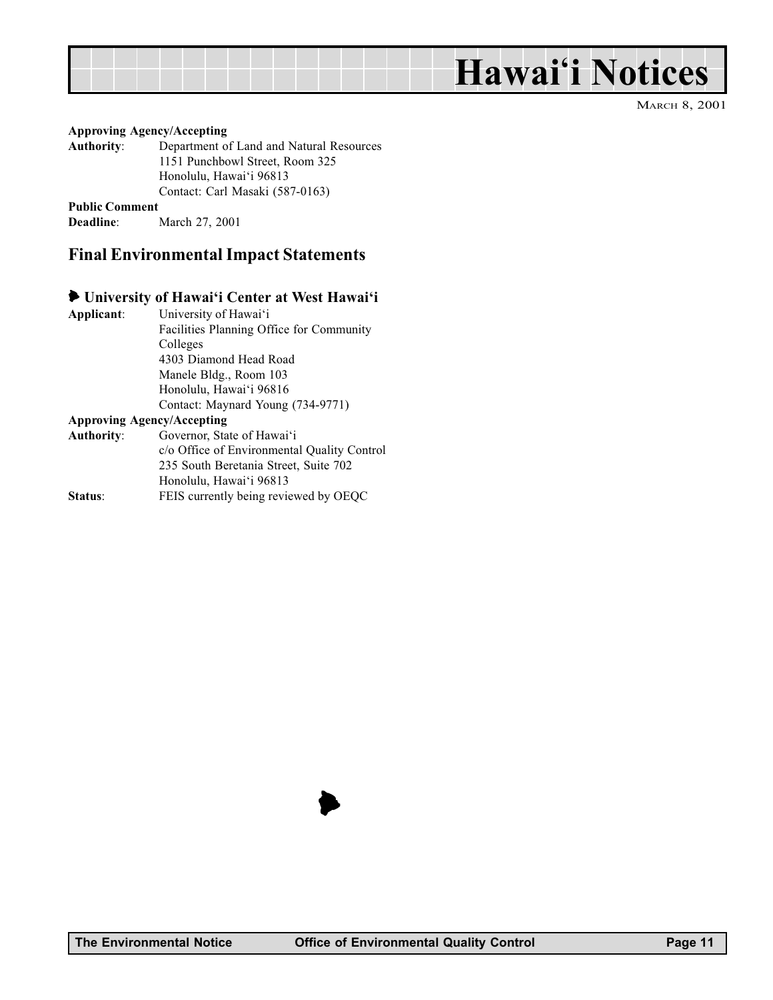## Hawai'i Notices

MARCH 8, 2001

#### <span id="page-10-0"></span>Approving Agency/Accepting

Authority: Department of Land and Natural Resources 1151 Punchbowl Street, Room 325 Honolulu, Hawai'i 96813 Contact: Carl Masaki (587-0163)

Public Comment

Deadline: March 27, 2001

### Final Environmental Impact Statements

### University of Hawai'i Center at West Hawai'i

| Applicant: | University of Hawai'i                       |
|------------|---------------------------------------------|
|            | Facilities Planning Office for Community    |
|            | Colleges                                    |
|            | 4303 Diamond Head Road                      |
|            | Manele Bldg., Room 103                      |
|            | Honolulu, Hawai'i 96816                     |
|            | Contact: Maynard Young (734-9771)           |
|            | Approving Agency/Accepting                  |
| Authority: | Governor, State of Hawai'i                  |
|            | c/o Office of Environmental Quality Control |
|            | 235 South Beretania Street, Suite 702       |
|            | Honolulu, Hawai'i 96813                     |
| Status:    | FEIS currently being reviewed by OEQC       |

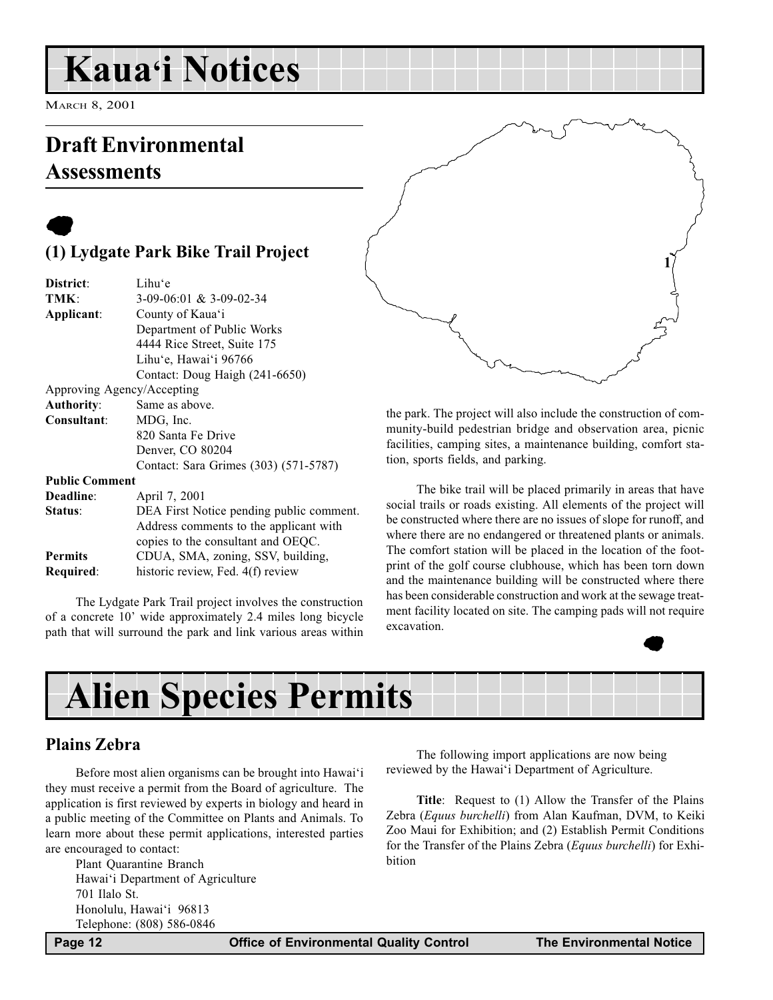## <span id="page-11-0"></span>**Kaua'i Notices**

MARCH 8, 2001

## Draft Environmental Assessments

### $\bullet$ (1) Lydgate Park Bike Trail Project

| District:             | Lihu'e                                   |
|-----------------------|------------------------------------------|
| TMK:                  | $3-09-06:01 \& 3-09-02-34$               |
| Applicant:            | County of Kaua'i                         |
|                       | Department of Public Works               |
|                       | 4444 Rice Street, Suite 175              |
|                       | Lihu'e, Hawai'i 96766                    |
|                       | Contact: Doug Haigh (241-6650)           |
|                       | Approving Agency/Accepting               |
| <b>Authority:</b>     | Same as above.                           |
| Consultant:           | MDG, Inc.                                |
|                       | 820 Santa Fe Drive                       |
|                       | Denver, CO 80204                         |
|                       | Contact: Sara Grimes (303) (571-5787)    |
| <b>Public Comment</b> |                                          |
| Deadline:             | April 7, 2001                            |
| Status:               | DEA First Notice pending public comment. |
|                       | Address comments to the applicant with   |
|                       | copies to the consultant and OEQC.       |
| <b>Permits</b>        | CDUA, SMA, zoning, SSV, building,        |
| Required:             | historic review, Fed. 4(f) review        |
|                       |                                          |

The Lydgate Park Trail project involves the construction of a concrete 10' wide approximately 2.4 miles long bicycle path that will surround the park and link various areas within

1

the park. The project will also include the construction of community-build pedestrian bridge and observation area, picnic facilities, camping sites, a maintenance building, comfort station, sports fields, and parking.

The bike trail will be placed primarily in areas that have social trails or roads existing. All elements of the project will be constructed where there are no issues of slope for runoff, and where there are no endangered or threatened plants or animals. The comfort station will be placed in the location of the footprint of the golf course clubhouse, which has been torn down and the maintenance building will be constructed where there has been considerable construction and work at the sewage treatment facility located on site. The camping pads will not require excavation.



## Alien Species Permits

### Plains Zebra

Before most alien organisms can be brought into Hawai'i they must receive a permit from the Board of agriculture. The application is first reviewed by experts in biology and heard in a public meeting of the Committee on Plants and Animals. To learn more about these permit applications, interested parties are encouraged to contact:

Plant Quarantine Branch Hawai'i Department of Agriculture 701 Ilalo St. Honolulu, Hawai'i 96813 Telephone: (808) 586-0846

The following import applications are now being reviewed by the Hawai'i Department of Agriculture.

Title: Request to (1) Allow the Transfer of the Plains Zebra (Equus burchelli) from Alan Kaufman, DVM, to Keiki Zoo Maui for Exhibition; and (2) Establish Permit Conditions for the Transfer of the Plains Zebra (Equus burchelli) for Exhibition

Page 12 **Office of Environmental Quality Control** The Environmental Notice **The Environmental Notice**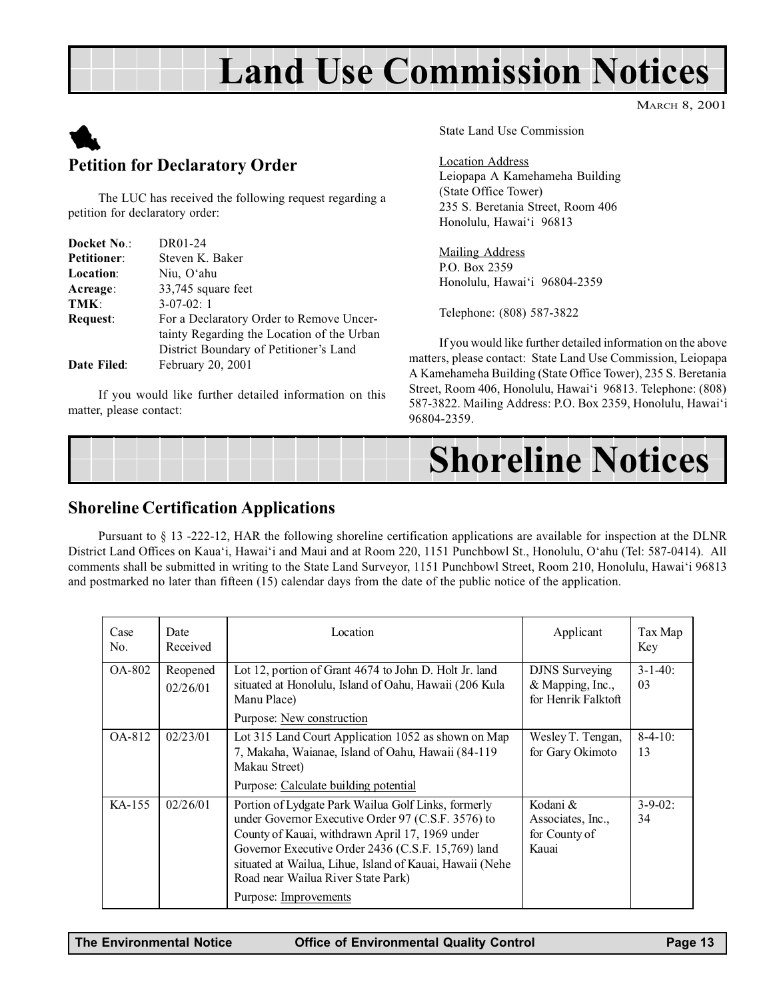## Land Use Commission Notices

MARCH 8, 2001

<span id="page-12-0"></span>

### Petition for Declaratory Order

The LUC has received the following request regarding a petition for declaratory order:

| Docket No.:        | DR01-24                                    |
|--------------------|--------------------------------------------|
| <b>Petitioner:</b> | Steven K. Baker                            |
| <b>Location:</b>   | Niu, O'ahu                                 |
| Acreage:           | 33,745 square feet                         |
| TMK:               | $3-07-02:1$                                |
| <b>Request:</b>    | For a Declaratory Order to Remove Uncer-   |
|                    | tainty Regarding the Location of the Urban |
|                    | District Boundary of Petitioner's Land     |
| Date Filed:        | February 20, 2001                          |

If you would like further detailed information on this matter, please contact:

State Land Use Commission

#### Location Address

Leiopapa A Kamehameha Building (State Office Tower) 235 S. Beretania Street, Room 406 Honolulu, Hawai'i 96813

Mailing Address P.O. Box 2359 Honolulu, Hawai'i 96804-2359

Telephone: (808) 587-3822

If you would like further detailed information on the above matters, please contact: State Land Use Commission, Leiopapa A Kamehameha Building (State Office Tower), 235 S. Beretania Street, Room 406, Honolulu, Hawai'i 96813. Telephone: (808) 587-3822. Mailing Address: P.O. Box 2359, Honolulu, Hawai'i 96804-2359.



### Shoreline Certification Applications

Pursuant to § 13 -222-12, HAR the following shoreline certification applications are available for inspection at the DLNR District Land Offices on Kaua'i, Hawai'i and Maui and at Room 220, 1151 Punchbowl St., Honolulu, O'ahu (Tel: 587-0414). All comments shall be submitted in writing to the State Land Surveyor, 1151 Punchbowl Street, Room 210, Honolulu, Hawai'i 96813 and postmarked no later than fifteen (15) calendar days from the date of the public notice of the application.

| Case<br>No. | Date<br>Received     | Location                                                                                                                                                                                                                                                                                                                                      | Applicant                                                        | Tax Map<br>Key       |
|-------------|----------------------|-----------------------------------------------------------------------------------------------------------------------------------------------------------------------------------------------------------------------------------------------------------------------------------------------------------------------------------------------|------------------------------------------------------------------|----------------------|
| OA-802      | Reopened<br>02/26/01 | Lot 12, portion of Grant 4674 to John D. Holt Jr. land<br>situated at Honolulu, Island of Oahu, Hawaii (206 Kula<br>Manu Place)<br>Purpose: New construction                                                                                                                                                                                  | <b>DJNS</b> Surveying<br>& Mapping, Inc.,<br>for Henrik Falktoft | $3 - 1 - 40$ :<br>03 |
| OA-812      | 02/23/01             | Lot 315 Land Court Application 1052 as shown on Map<br>7, Makaha, Waianae, Island of Oahu, Hawaii (84-119)<br>Makau Street)<br>Purpose: Calculate building potential                                                                                                                                                                          | Wesley T. Tengan,<br>for Gary Okimoto                            | $8-4-10$ :<br>13     |
| KA-155      | 02/26/01             | Portion of Lydgate Park Wailua Golf Links, formerly<br>under Governor Executive Order 97 (C.S.F. 3576) to<br>County of Kauai, withdrawn April 17, 1969 under<br>Governor Executive Order 2436 (C.S.F. 15,769) land<br>situated at Wailua, Lihue, Island of Kauai, Hawaii (Nehe<br>Road near Wailua River State Park)<br>Purpose: Improvements | Kodani &<br>Associates, Inc.,<br>for County of<br>Kauai          | $3 - 9 - 02$ :<br>34 |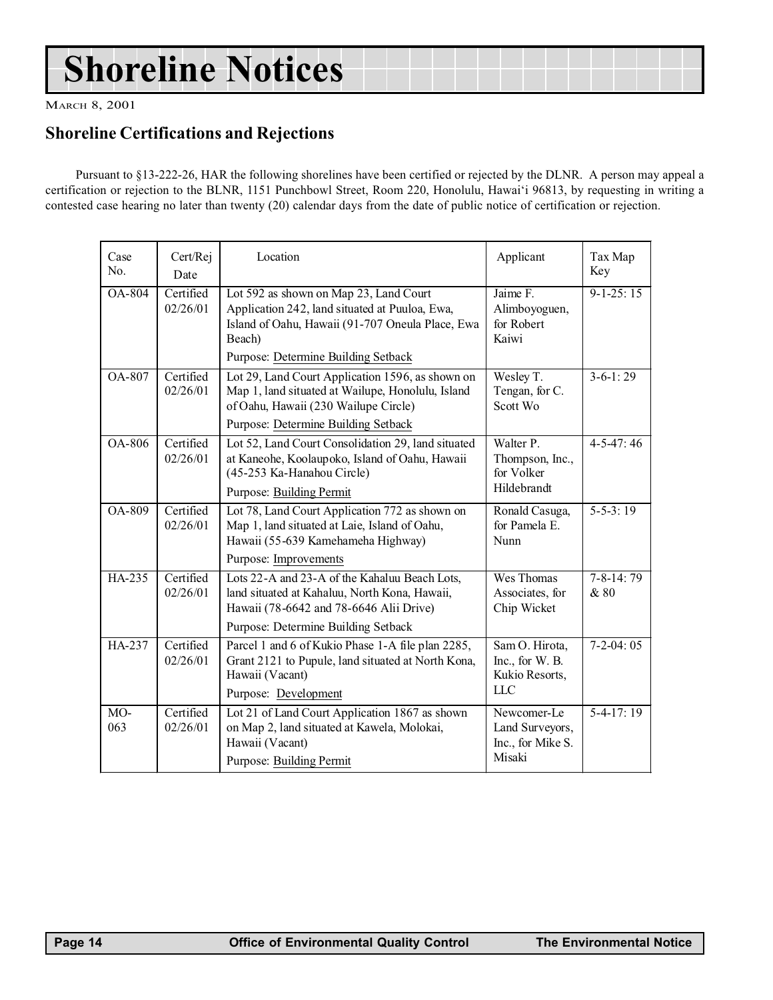## <span id="page-13-0"></span>Shoreline Notices

MARCH 8, 2001

### Shoreline Certifications and Rejections

Pursuant to §13-222-26, HAR the following shorelines have been certified or rejected by the DLNR. A person may appeal a certification or rejection to the BLNR, 1151 Punchbowl Street, Room 220, Honolulu, Hawaii 96813, by requesting in writing a contested case hearing no later than twenty (20) calendar days from the date of public notice of certification or rejection.

| Case<br>No.   | Cert/Rej<br>Date      | Location                                                                                                                                                                                      | Applicant                                                     | Tax Map<br>Key          |
|---------------|-----------------------|-----------------------------------------------------------------------------------------------------------------------------------------------------------------------------------------------|---------------------------------------------------------------|-------------------------|
| <b>OA-804</b> | Certified<br>02/26/01 | Lot 592 as shown on Map 23, Land Court<br>Application 242, land situated at Puuloa, Ewa,<br>Island of Oahu, Hawaii (91-707 Oneula Place, Ewa<br>Beach)<br>Purpose: Determine Building Setback | Jaime F.<br>Alimboyoguen,<br>for Robert<br>Kaiwi              | $9 - 1 - 25:15$         |
| OA-807        | Certified<br>02/26/01 | Lot 29, Land Court Application 1596, as shown on<br>Map 1, land situated at Wailupe, Honolulu, Island<br>of Oahu, Hawaii (230 Wailupe Circle)<br>Purpose: Determine Building Setback          | Wesley T.<br>Tengan, for C.<br>Scott Wo                       | $3-6-1:29$              |
| OA-806        | Certified<br>02/26/01 | Lot 52, Land Court Consolidation 29, land situated<br>at Kaneohe, Koolaupoko, Island of Oahu, Hawaii<br>(45-253 Ka-Hanahou Circle)<br><b>Purpose: Building Permit</b>                         | Walter P.<br>Thompson, Inc.,<br>for Volker<br>Hildebrandt     | $4-5-47:46$             |
| OA-809        | Certified<br>02/26/01 | Lot 78, Land Court Application 772 as shown on<br>Map 1, land situated at Laie, Island of Oahu,<br>Hawaii (55-639 Kamehameha Highway)<br>Purpose: Improvements                                | Ronald Casuga,<br>for Pamela E.<br>Nunn                       | $5 - 5 - 3$ : 19        |
| HA-235        | Certified<br>02/26/01 | Lots 22-A and 23-A of the Kahaluu Beach Lots,<br>land situated at Kahaluu, North Kona, Hawaii,<br>Hawaii (78-6642 and 78-6646 Alii Drive)<br>Purpose: Determine Building Setback              | Wes Thomas<br>Associates, for<br>Chip Wicket                  | $7 - 8 - 14:79$<br>& 80 |
| HA-237        | Certified<br>02/26/01 | Parcel 1 and 6 of Kukio Phase 1-A file plan 2285,<br>Grant 2121 to Pupule, land situated at North Kona,<br>Hawaii (Vacant)<br>Purpose: Development                                            | Sam O. Hirota,<br>Inc., for W. B.<br>Kukio Resorts,<br>LLC    | $7-2-04:05$             |
| MO-<br>063    | Certified<br>02/26/01 | Lot 21 of Land Court Application 1867 as shown<br>on Map 2, land situated at Kawela, Molokai,<br>Hawaii (Vacant)<br>Purpose: Building Permit                                                  | Newcomer-Le<br>Land Surveyors,<br>Inc., for Mike S.<br>Misaki | $5-4-17:19$             |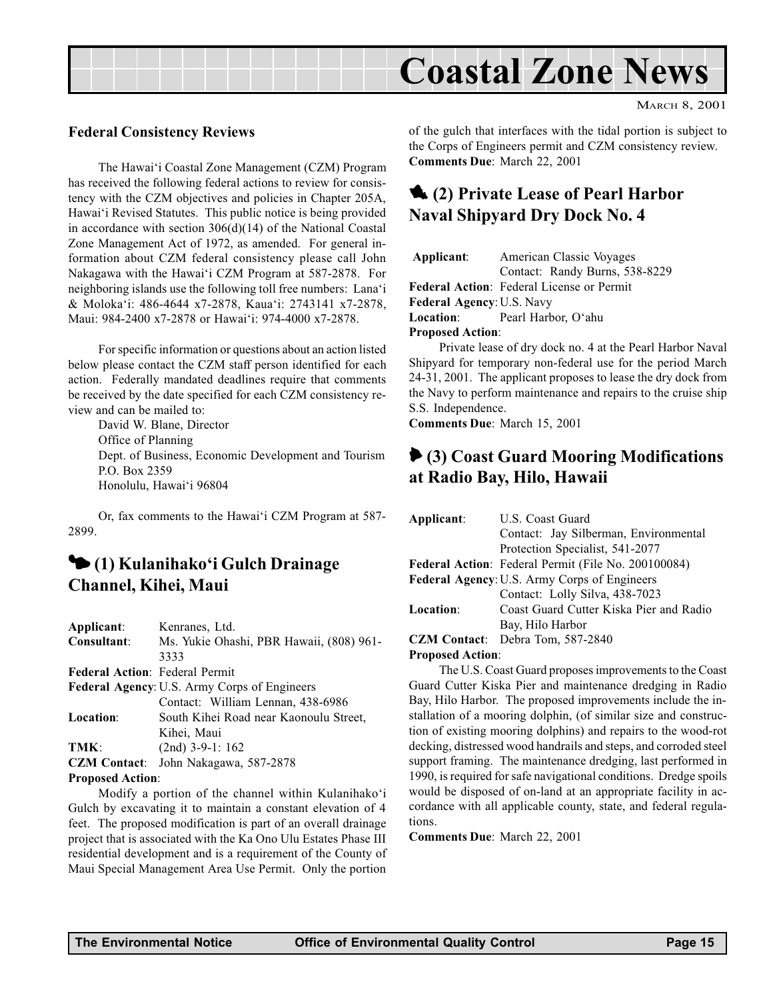<span id="page-14-0"></span>

#### Federal Consistency Reviews

The Hawai'i Coastal Zone Management (CZM) Program has received the following federal actions to review for consistency with the CZM objectives and policies in Chapter 205A, Hawai'i Revised Statutes. This public notice is being provided in accordance with section 306(d)(14) of the National Coastal Zone Management Act of 1972, as amended. For general information about CZM federal consistency please call John Nakagawa with the Hawai'i CZM Program at 587-2878. For neighboring islands use the following toll free numbers: Lana'i & Molokai: 486-4644 x7-2878, Kauai: 2743141 x7-2878, Maui: 984-2400 x7-2878 or Hawai'i: 974-4000 x7-2878.

For specific information or questions about an action listed below please contact the CZM staff person identified for each action. Federally mandated deadlines require that comments be received by the date specified for each CZM consistency review and can be mailed to:

David W. Blane, Director Office of Planning Dept. of Business, Economic Development and Tourism P.O. Box 2359 Honolulu, Hawai'i 96804

Or, fax comments to the Hawai'i CZM Program at 587-2899.

### <sup>1</sup> (1) Kulanihako'i Gulch Drainage Channel, Kihei, Maui

| Applicant:                            | Kenranes, Ltd.                               |
|---------------------------------------|----------------------------------------------|
| Consultant:                           | Ms. Yukie Ohashi, PBR Hawaii, (808) 961-     |
|                                       | 3333                                         |
| <b>Federal Action: Federal Permit</b> |                                              |
|                                       | Federal Agency: U.S. Army Corps of Engineers |
|                                       | Contact: William Lennan, 438-6986            |
| <b>Location:</b>                      | South Kihei Road near Kaonoulu Street,       |
|                                       | Kihei, Maui                                  |
| TMK:                                  | $(2nd)$ 3-9-1: 162                           |
| <b>CZM</b> Contact:                   | John Nakagawa, 587-2878                      |
| <b>Proposed Action:</b>               |                                              |

Modify a portion of the channel within Kulanihako'i Gulch by excavating it to maintain a constant elevation of 4 feet. The proposed modification is part of an overall drainage project that is associated with the Ka Ono Ulu Estates Phase III residential development and is a requirement of the County of Maui Special Management Area Use Permit. Only the portion

of the gulch that interfaces with the tidal portion is subject to the Corps of Engineers permit and CZM consistency review. Comments Due: March 22, 2001

### 1. (2) Private Lease of Pearl Harbor Naval Shipyard Dry Dock No. 4

| Applicant:                                       | American Classic Voyages<br>Contact: Randy Burns, 538-8229 |  |
|--------------------------------------------------|------------------------------------------------------------|--|
| <b>Federal Action:</b> Federal License or Permit |                                                            |  |
| <b>Federal Agency: U.S. Navy</b>                 |                                                            |  |
| <b>Location:</b>                                 | Pearl Harbor, O'ahu                                        |  |
| <b>Proposed Action:</b>                          |                                                            |  |

Private lease of dry dock no. 4 at the Pearl Harbor Naval Shipyard for temporary non-federal use for the period March 24-31, 2001. The applicant proposes to lease the dry dock from the Navy to perform maintenance and repairs to the cruise ship S.S. Independence.

Comments Due: March 15, 2001

### 6 (3) Coast Guard Mooring Modifications at Radio Bay, Hilo, Hawaii

| Applicant: | U.S. Coast Guard                                    |
|------------|-----------------------------------------------------|
|            | Contact: Jay Silberman, Environmental               |
|            | Protection Specialist, 541-2077                     |
|            | Federal Action: Federal Permit (File No. 200100084) |
|            | <b>Federal Agency: U.S. Army Corps of Engineers</b> |
|            | Contact: Lolly Silva, 438-7023                      |
| Location:  | Coast Guard Cutter Kiska Pier and Radio             |
|            | Bay, Hilo Harbor                                    |
|            | <b>CZM Contact:</b> Debra Tom, 587-2840             |
| .          |                                                     |

#### Proposed Action:

The U.S. Coast Guard proposes improvements to the Coast Guard Cutter Kiska Pier and maintenance dredging in Radio Bay, Hilo Harbor. The proposed improvements include the installation of a mooring dolphin, (of similar size and construction of existing mooring dolphins) and repairs to the wood-rot decking, distressed wood handrails and steps, and corroded steel support framing. The maintenance dredging, last performed in 1990, is required for safe navigational conditions. Dredge spoils would be disposed of on-land at an appropriate facility in accordance with all applicable county, state, and federal regulations.

Comments Due: March 22, 2001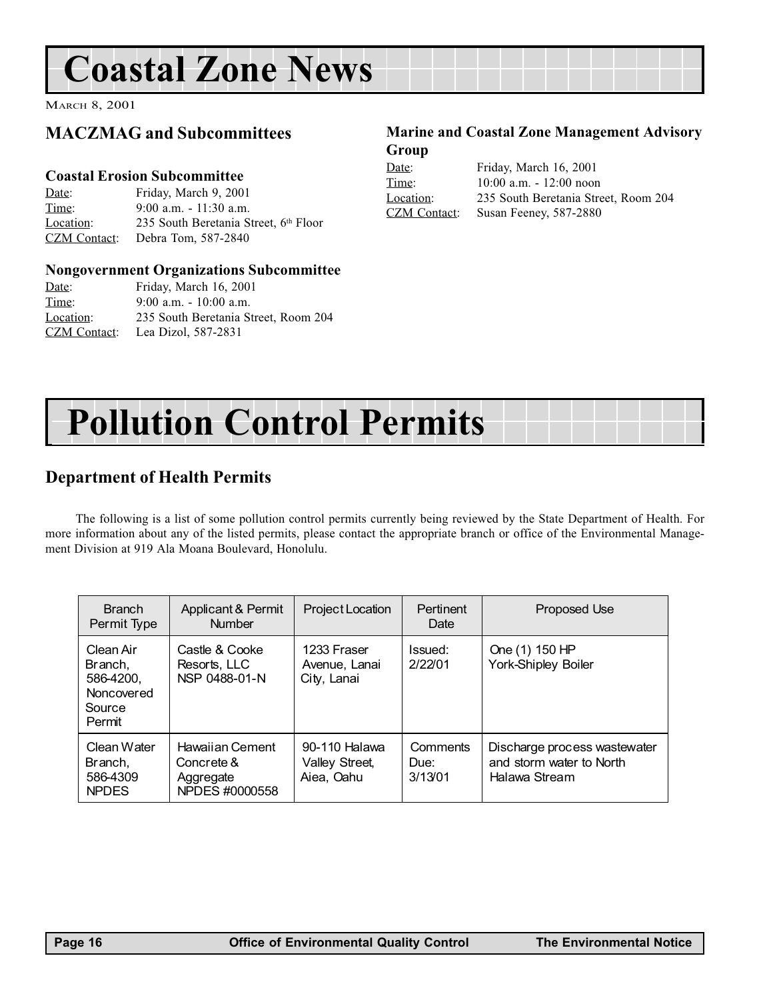## <span id="page-15-0"></span>Coastal Zone News

MARCH 8, 2001

### MACZMAG and Subcommittees

### Coastal Erosion Subcommittee

Date: Friday, March 9, 2001 Time: 9:00 a.m. - 11:30 a.m. Location: 235 South Beretania Street, 6th Floor CZM Contact: Debra Tom, 587-2840

#### Nongovernment Organizations Subcommittee

| Date:        | Friday, March 16, 2001               |
|--------------|--------------------------------------|
| Time:        | $9:00$ a.m. $-10:00$ a.m.            |
| Location:    | 235 South Beretania Street, Room 204 |
| CZM Contact: | Lea Dizol. 587-2831                  |

### Marine and Coastal Zone Management Advisory Group

| Date:               | Friday, March 16, 2001               |
|---------------------|--------------------------------------|
| Time:               | $10:00$ a.m. $-12:00$ noon           |
| Location:           | 235 South Beretania Street, Room 204 |
| <b>CZM</b> Contact: | Susan Feeney, 587-2880               |



### Department of Health Permits

The following is a list of some pollution control permits currently being reviewed by the State Department of Health. For more information about any of the listed permits, please contact the appropriate branch or office of the Environmental Management Division at 919 Ala Moana Boulevard, Honolulu.

| <b>Branch</b><br>Permit Type                                        | Applicant & Permit<br><b>Number</b>                          | Project Location                              | Pertinent<br>Date           | Proposed Use                                                              |
|---------------------------------------------------------------------|--------------------------------------------------------------|-----------------------------------------------|-----------------------------|---------------------------------------------------------------------------|
| Clean Air<br>Branch,<br>586-4200.<br>Noncovered<br>Source<br>Permit | Castle & Cooke<br>Resorts, LLC<br>NSP 0488-01-N              | 1233 Fraser<br>Avenue, Lanai<br>City, Lanai   | Issued:<br>2/22/01          | One (1) 150 HP<br><b>York-Shipley Boiler</b>                              |
| Clean Water<br>Branch.<br>586-4309<br><b>NPDES</b>                  | Hawaiian Cement<br>Concrete &<br>Aggregate<br>NPDES #0000558 | 90-110 Halawa<br>Valley Street,<br>Aiea, Oahu | Comments<br>Due:<br>3/13/01 | Discharge process wastewater<br>and storm water to North<br>Halawa Stream |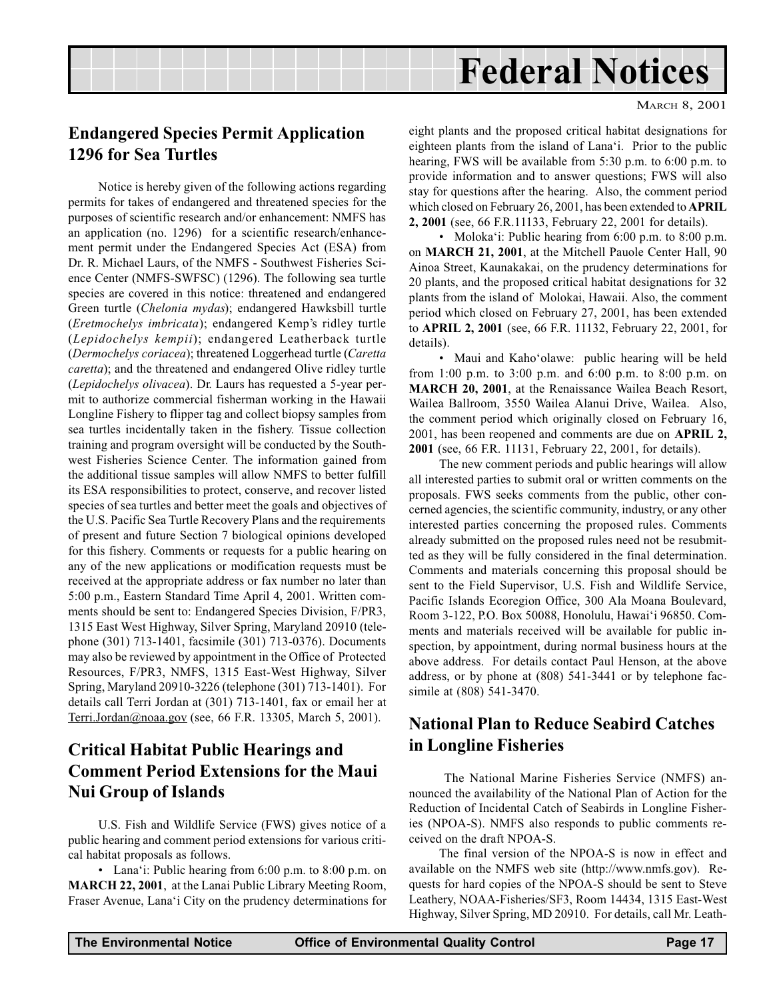## Federal Notices

### <span id="page-16-0"></span>Endangered Species Permit Application 1296 for Sea Turtles

Notice is hereby given of the following actions regarding permits for takes of endangered and threatened species for the purposes of scientific research and/or enhancement: NMFS has an application (no. 1296) for a scientific research/enhancement permit under the Endangered Species Act (ESA) from Dr. R. Michael Laurs, of the NMFS - Southwest Fisheries Science Center (NMFS-SWFSC) (1296). The following sea turtle species are covered in this notice: threatened and endangered Green turtle (Chelonia mydas); endangered Hawksbill turtle (Eretmochelys imbricata); endangered Kemp's ridley turtle (Lepidochelys kempii); endangered Leatherback turtle (Dermochelys coriacea); threatened Loggerhead turtle (Caretta caretta); and the threatened and endangered Olive ridley turtle (Lepidochelys olivacea). Dr. Laurs has requested a 5-year permit to authorize commercial fisherman working in the Hawaii Longline Fishery to flipper tag and collect biopsy samples from sea turtles incidentally taken in the fishery. Tissue collection training and program oversight will be conducted by the Southwest Fisheries Science Center. The information gained from the additional tissue samples will allow NMFS to better fulfill its ESA responsibilities to protect, conserve, and recover listed species of sea turtles and better meet the goals and objectives of the U.S. Pacific Sea Turtle Recovery Plans and the requirements of present and future Section 7 biological opinions developed for this fishery. Comments or requests for a public hearing on any of the new applications or modification requests must be received at the appropriate address or fax number no later than 5:00 p.m., Eastern Standard Time April 4, 2001. Written comments should be sent to: Endangered Species Division, F/PR3, 1315 East West Highway, Silver Spring, Maryland 20910 (telephone (301) 713-1401, facsimile (301) 713-0376). Documents may also be reviewed by appointment in the Office of Protected Resources, F/PR3, NMFS, 1315 East-West Highway, Silver Spring, Maryland 20910-3226 (telephone (301) 713-1401). For details call Terri Jordan at (301) 713-1401, fax or email her at Terri.Jordan@noaa.gov (see, 66 F.R. 13305, March 5, 2001).

### Critical Habitat Public Hearings and Comment Period Extensions for the Maui Nui Group of Islands

U.S. Fish and Wildlife Service (FWS) gives notice of a public hearing and comment period extensions for various critical habitat proposals as follows.

• Lana'i: Public hearing from  $6:00$  p.m. to  $8:00$  p.m. on MARCH 22, 2001, at the Lanai Public Library Meeting Room, Fraser Avenue, Lana'i City on the prudency determinations for

eight plants and the proposed critical habitat designations for eighteen plants from the island of Lana'i. Prior to the public hearing, FWS will be available from 5:30 p.m. to 6:00 p.m. to provide information and to answer questions; FWS will also stay for questions after the hearing. Also, the comment period which closed on February 26, 2001, has been extended to APRIL 2, 2001 (see, 66 F.R.11133, February 22, 2001 for details).

• Moloka'i: Public hearing from  $6:00$  p.m. to  $8:00$  p.m. on MARCH 21, 2001, at the Mitchell Pauole Center Hall, 90 Ainoa Street, Kaunakakai, on the prudency determinations for 20 plants, and the proposed critical habitat designations for 32 plants from the island of Molokai, Hawaii. Also, the comment period which closed on February 27, 2001, has been extended to APRIL 2, 2001 (see, 66 F.R. 11132, February 22, 2001, for details).

• Maui and Kaho'olawe: public hearing will be held from 1:00 p.m. to 3:00 p.m. and 6:00 p.m. to 8:00 p.m. on MARCH 20, 2001, at the Renaissance Wailea Beach Resort, Wailea Ballroom, 3550 Wailea Alanui Drive, Wailea. Also, the comment period which originally closed on February 16, 2001, has been reopened and comments are due on APRIL 2, 2001 (see, 66 F.R. 11131, February 22, 2001, for details).

The new comment periods and public hearings will allow all interested parties to submit oral or written comments on the proposals. FWS seeks comments from the public, other concerned agencies, the scientific community, industry, or any other interested parties concerning the proposed rules. Comments already submitted on the proposed rules need not be resubmitted as they will be fully considered in the final determination. Comments and materials concerning this proposal should be sent to the Field Supervisor, U.S. Fish and Wildlife Service, Pacific Islands Ecoregion Office, 300 Ala Moana Boulevard, Room 3-122, P.O. Box 50088, Honolulu, Hawai'i 96850. Comments and materials received will be available for public inspection, by appointment, during normal business hours at the above address. For details contact Paul Henson, at the above address, or by phone at (808) 541-3441 or by telephone facsimile at (808) 541-3470.

### National Plan to Reduce Seabird Catches in Longline Fisheries

 The National Marine Fisheries Service (NMFS) announced the availability of the National Plan of Action for the Reduction of Incidental Catch of Seabirds in Longline Fisheries (NPOA-S). NMFS also responds to public comments received on the draft NPOA-S.

The final version of the NPOA-S is now in effect and available on the NMFS web site (http://www.nmfs.gov). Requests for hard copies of the NPOA-S should be sent to Steve Leathery, NOAA-Fisheries/SF3, Room 14434, 1315 East-West Highway, Silver Spring, MD 20910. For details, call Mr. Leath-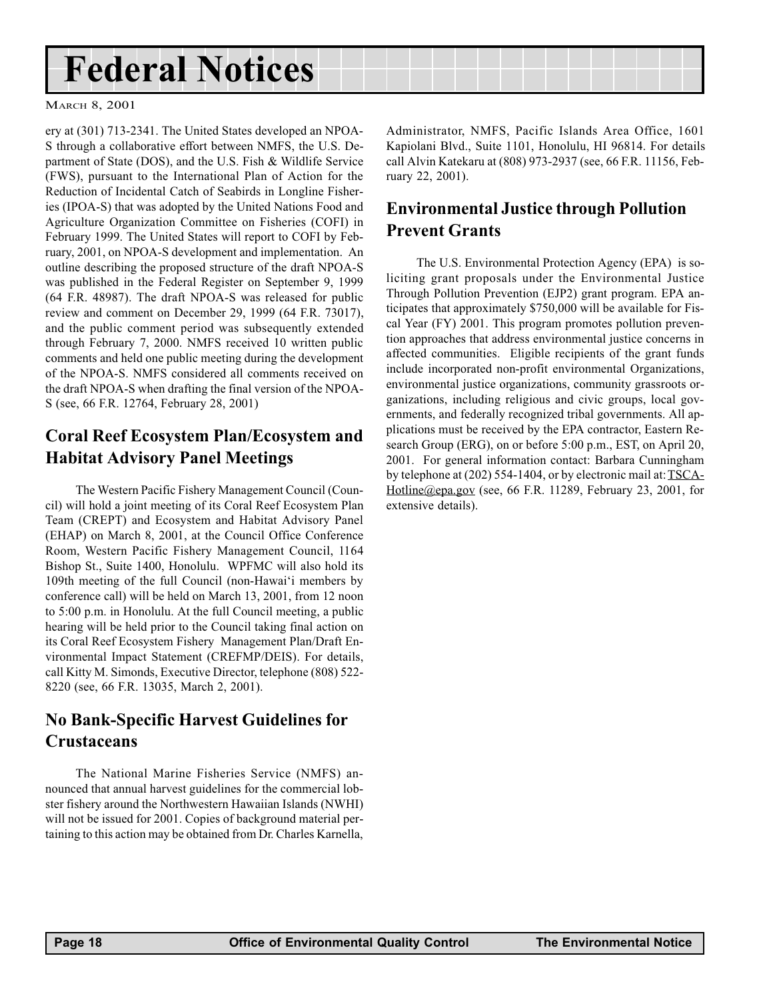## <span id="page-17-0"></span>Federal Notices

#### MARCH 8, 2001

ery at (301) 713-2341. The United States developed an NPOA-S through a collaborative effort between NMFS, the U.S. Department of State (DOS), and the U.S. Fish & Wildlife Service (FWS), pursuant to the International Plan of Action for the Reduction of Incidental Catch of Seabirds in Longline Fisheries (IPOA-S) that was adopted by the United Nations Food and Agriculture Organization Committee on Fisheries (COFI) in February 1999. The United States will report to COFI by February, 2001, on NPOA-S development and implementation. An outline describing the proposed structure of the draft NPOA-S was published in the Federal Register on September 9, 1999 (64 F.R. 48987). The draft NPOA-S was released for public review and comment on December 29, 1999 (64 F.R. 73017), and the public comment period was subsequently extended through February 7, 2000. NMFS received 10 written public comments and held one public meeting during the development of the NPOA-S. NMFS considered all comments received on the draft NPOA-S when drafting the final version of the NPOA-S (see, 66 F.R. 12764, February 28, 2001)

### Coral Reef Ecosystem Plan/Ecosystem and Habitat Advisory Panel Meetings

The Western Pacific Fishery Management Council (Council) will hold a joint meeting of its Coral Reef Ecosystem Plan Team (CREPT) and Ecosystem and Habitat Advisory Panel (EHAP) on March 8, 2001, at the Council Office Conference Room, Western Pacific Fishery Management Council, 1164 Bishop St., Suite 1400, Honolulu. WPFMC will also hold its 109th meeting of the full Council (non-Hawai'i members by conference call) will be held on March 13, 2001, from 12 noon to 5:00 p.m. in Honolulu. At the full Council meeting, a public hearing will be held prior to the Council taking final action on its Coral Reef Ecosystem Fishery Management Plan/Draft Environmental Impact Statement (CREFMP/DEIS). For details, call Kitty M. Simonds, Executive Director, telephone (808) 522- 8220 (see, 66 F.R. 13035, March 2, 2001).

### No Bank-Specific Harvest Guidelines for Crustaceans

The National Marine Fisheries Service (NMFS) announced that annual harvest guidelines for the commercial lobster fishery around the Northwestern Hawaiian Islands (NWHI) will not be issued for 2001. Copies of background material pertaining to this action may be obtained from Dr. Charles Karnella, Administrator, NMFS, Pacific Islands Area Office, 1601 Kapiolani Blvd., Suite 1101, Honolulu, HI 96814. For details call Alvin Katekaru at (808) 973-2937 (see, 66 F.R. 11156, February 22, 2001).

### Environmental Justice through Pollution Prevent Grants

The U.S. Environmental Protection Agency (EPA) is soliciting grant proposals under the Environmental Justice Through Pollution Prevention (EJP2) grant program. EPA anticipates that approximately \$750,000 will be available for Fiscal Year (FY) 2001. This program promotes pollution prevention approaches that address environmental justice concerns in affected communities. Eligible recipients of the grant funds include incorporated non-profit environmental Organizations, environmental justice organizations, community grassroots organizations, including religious and civic groups, local governments, and federally recognized tribal governments. All applications must be received by the EPA contractor, Eastern Research Group (ERG), on or before 5:00 p.m., EST, on April 20, 2001. For general information contact: Barbara Cunningham by telephone at (202) 554-1404, or by electronic mail at: TSCA-Hotline@epa.gov (see, 66 F.R. 11289, February 23, 2001, for extensive details).